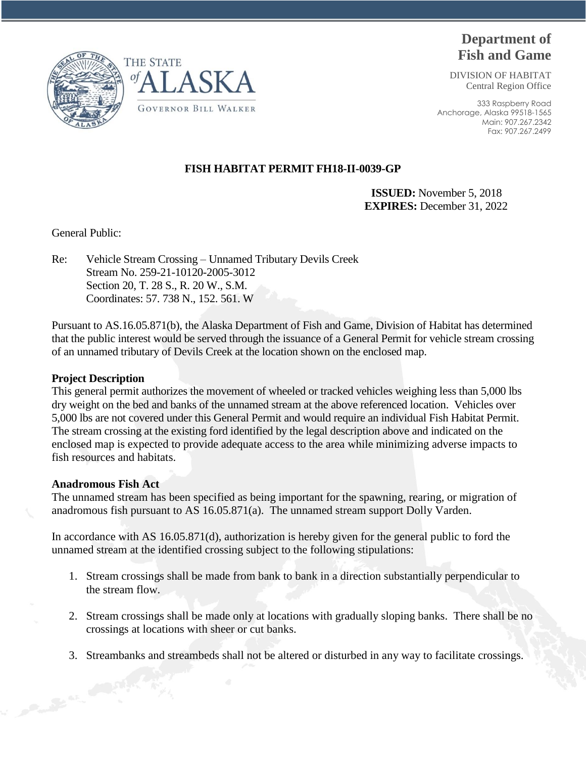

DIVISION OF HABITAT Central Region Office

333 Raspberry Road Anchorage, Alaska 99518-1565 Main: 907.267.2342 Fax: 907.267.2499





 **ISSUED:** November 5, 2018 **EXPIRES:** December 31, 2022

General Public:

Re: Vehicle Stream Crossing – Unnamed Tributary Devils Creek Stream No. 259-21-10120-2005-3012 Section 20, T. 28 S., R. 20 W., S.M. Coordinates: 57. 738 N., 152. 561. W

LASKA

Pursuant to AS.16.05.871(b), the Alaska Department of Fish and Game, Division of Habitat has determined that the public interest would be served through the issuance of a General Permit for vehicle stream crossing of an unnamed tributary of Devils Creek at the location shown on the enclosed map.

#### **Project Description**

This general permit authorizes the movement of wheeled or tracked vehicles weighing less than 5,000 lbs dry weight on the bed and banks of the unnamed stream at the above referenced location. Vehicles over 5,000 lbs are not covered under this General Permit and would require an individual Fish Habitat Permit. The stream crossing at the existing ford identified by the legal description above and indicated on the enclosed map is expected to provide adequate access to the area while minimizing adverse impacts to fish resources and habitats.

# **Anadromous Fish Act**

The unnamed stream has been specified as being important for the spawning, rearing, or migration of anadromous fish pursuant to AS 16.05.871(a). The unnamed stream support Dolly Varden.

In accordance with AS 16.05.871(d), authorization is hereby given for the general public to ford the unnamed stream at the identified crossing subject to the following stipulations:

- 1. Stream crossings shall be made from bank to bank in a direction substantially perpendicular to the stream flow.
- 2. Stream crossings shall be made only at locations with gradually sloping banks. There shall be no crossings at locations with sheer or cut banks.
- 3. Streambanks and streambeds shall not be altered or disturbed in any way to facilitate crossings.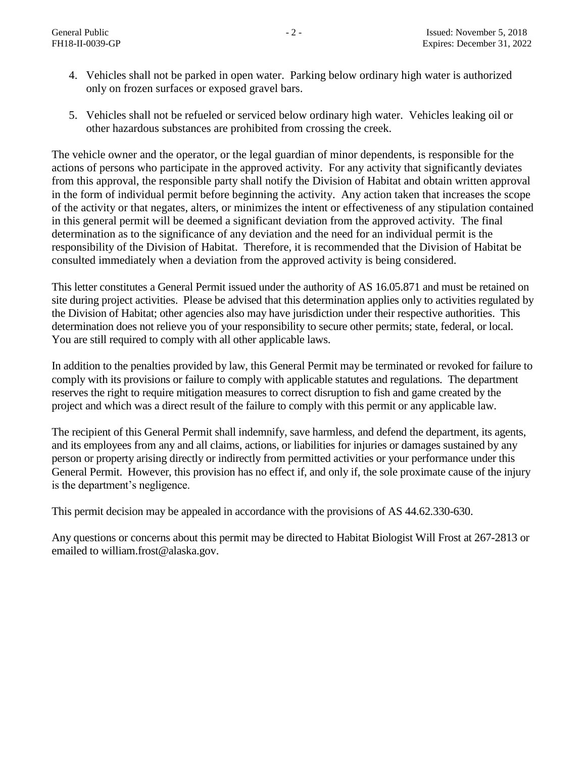- 4. Vehicles shall not be parked in open water. Parking below ordinary high water is authorized only on frozen surfaces or exposed gravel bars.
- 5. Vehicles shall not be refueled or serviced below ordinary high water. Vehicles leaking oil or other hazardous substances are prohibited from crossing the creek.

The vehicle owner and the operator, or the legal guardian of minor dependents, is responsible for the actions of persons who participate in the approved activity. For any activity that significantly deviates from this approval, the responsible party shall notify the Division of Habitat and obtain written approval in the form of individual permit before beginning the activity. Any action taken that increases the scope of the activity or that negates, alters, or minimizes the intent or effectiveness of any stipulation contained in this general permit will be deemed a significant deviation from the approved activity. The final determination as to the significance of any deviation and the need for an individual permit is the responsibility of the Division of Habitat. Therefore, it is recommended that the Division of Habitat be consulted immediately when a deviation from the approved activity is being considered.

This letter constitutes a General Permit issued under the authority of AS 16.05.871 and must be retained on site during project activities. Please be advised that this determination applies only to activities regulated by the Division of Habitat; other agencies also may have jurisdiction under their respective authorities. This determination does not relieve you of your responsibility to secure other permits; state, federal, or local. You are still required to comply with all other applicable laws.

In addition to the penalties provided by law, this General Permit may be terminated or revoked for failure to comply with its provisions or failure to comply with applicable statutes and regulations. The department reserves the right to require mitigation measures to correct disruption to fish and game created by the project and which was a direct result of the failure to comply with this permit or any applicable law.

The recipient of this General Permit shall indemnify, save harmless, and defend the department, its agents, and its employees from any and all claims, actions, or liabilities for injuries or damages sustained by any person or property arising directly or indirectly from permitted activities or your performance under this General Permit. However, this provision has no effect if, and only if, the sole proximate cause of the injury is the department's negligence.

This permit decision may be appealed in accordance with the provisions of AS 44.62.330-630.

Any questions or concerns about this permit may be directed to Habitat Biologist Will Frost at 267-2813 or emailed to william.frost@alaska.gov.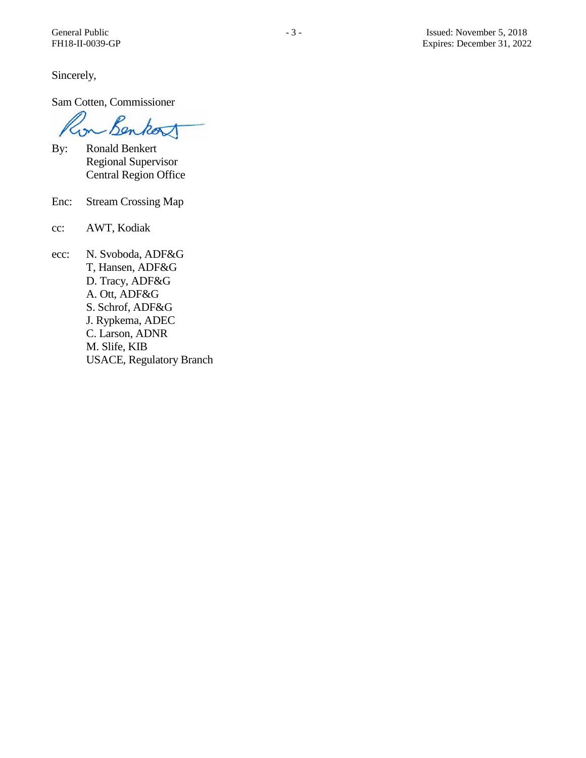Sincerely,

Sam Cotten, Commissioner

Benkort  $\sim$ 

- By: Ronald Benkert Regional Supervisor Central Region Office
- Enc: Stream Crossing Map
- cc: AWT, Kodiak
- ecc: N. Svoboda, ADF&G T, Hansen, ADF&G D. Tracy, ADF&G A. Ott, ADF&G S. Schrof, ADF&G J. Rypkema, ADEC C. Larson, ADNR M. Slife, KIB USACE, Regulatory Branch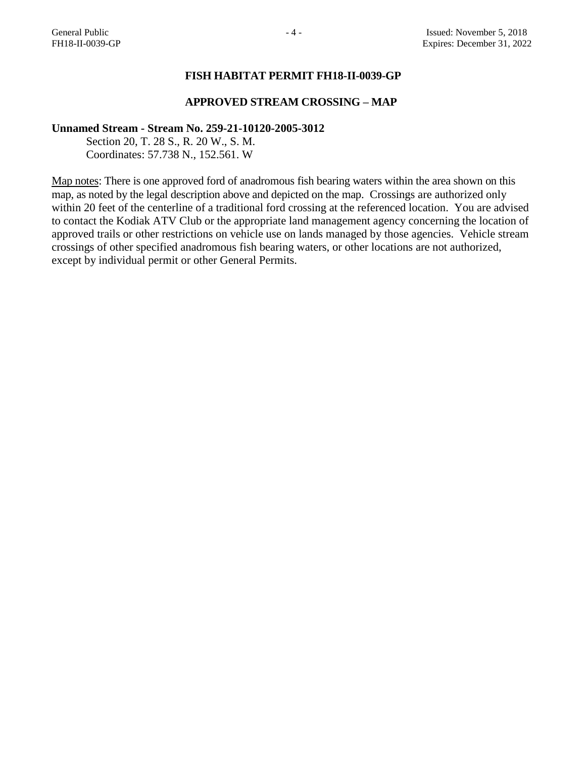# **FISH HABITAT PERMIT FH18-II-0039-GP**

### **APPROVED STREAM CROSSING – MAP**

#### **Unnamed Stream - Stream No. 259-21-10120-2005-3012**

Section 20, T. 28 S., R. 20 W., S. M. Coordinates: 57.738 N., 152.561. W

Map notes: There is one approved ford of anadromous fish bearing waters within the area shown on this map, as noted by the legal description above and depicted on the map. Crossings are authorized only within 20 feet of the centerline of a traditional ford crossing at the referenced location. You are advised to contact the Kodiak ATV Club or the appropriate land management agency concerning the location of approved trails or other restrictions on vehicle use on lands managed by those agencies. Vehicle stream crossings of other specified anadromous fish bearing waters, or other locations are not authorized, except by individual permit or other General Permits.